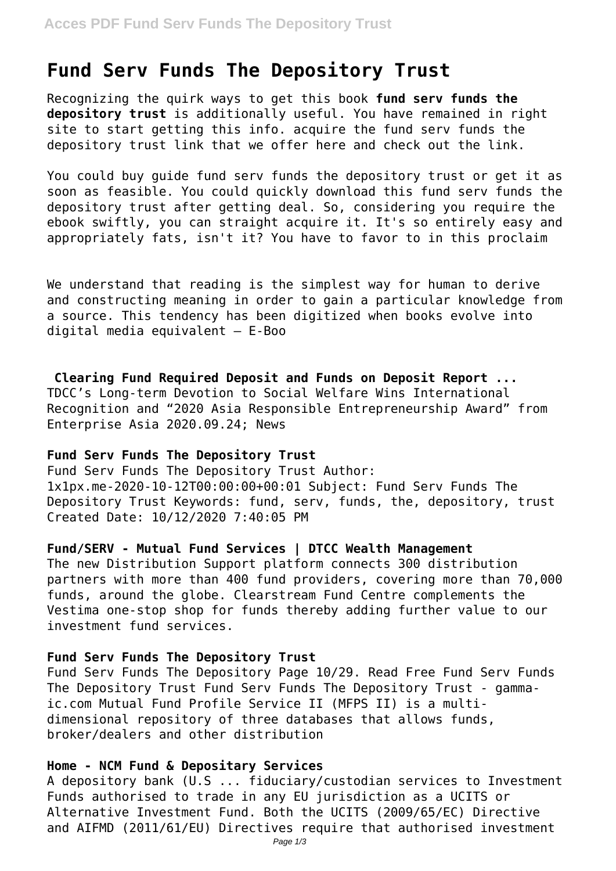# **Fund Serv Funds The Depository Trust**

Recognizing the quirk ways to get this book **fund serv funds the depository trust** is additionally useful. You have remained in right site to start getting this info. acquire the fund serv funds the depository trust link that we offer here and check out the link.

You could buy guide fund serv funds the depository trust or get it as soon as feasible. You could quickly download this fund serv funds the depository trust after getting deal. So, considering you require the ebook swiftly, you can straight acquire it. It's so entirely easy and appropriately fats, isn't it? You have to favor to in this proclaim

We understand that reading is the simplest way for human to derive and constructing meaning in order to gain a particular knowledge from a source. This tendency has been digitized when books evolve into digital media equivalent – E-Boo

**Clearing Fund Required Deposit and Funds on Deposit Report ...** TDCC's Long-term Devotion to Social Welfare Wins International Recognition and "2020 Asia Responsible Entrepreneurship Award" from Enterprise Asia 2020.09.24; News

## **Fund Serv Funds The Depository Trust**

Fund Serv Funds The Depository Trust Author: 1x1px.me-2020-10-12T00:00:00+00:01 Subject: Fund Serv Funds The Depository Trust Keywords: fund, serv, funds, the, depository, trust Created Date: 10/12/2020 7:40:05 PM

## **Fund/SERV - Mutual Fund Services | DTCC Wealth Management**

The new Distribution Support platform connects 300 distribution partners with more than 400 fund providers, covering more than 70,000 funds, around the globe. Clearstream Fund Centre complements the Vestima one-stop shop for funds thereby adding further value to our investment fund services.

#### **Fund Serv Funds The Depository Trust**

Fund Serv Funds The Depository Page 10/29. Read Free Fund Serv Funds The Depository Trust Fund Serv Funds The Depository Trust - gammaic.com Mutual Fund Profile Service II (MFPS II) is a multidimensional repository of three databases that allows funds, broker/dealers and other distribution

#### **Home - NCM Fund & Depositary Services**

A depository bank (U.S ... fiduciary/custodian services to Investment Funds authorised to trade in any EU jurisdiction as a UCITS or Alternative Investment Fund. Both the UCITS (2009/65/EC) Directive and AIFMD (2011/61/EU) Directives require that authorised investment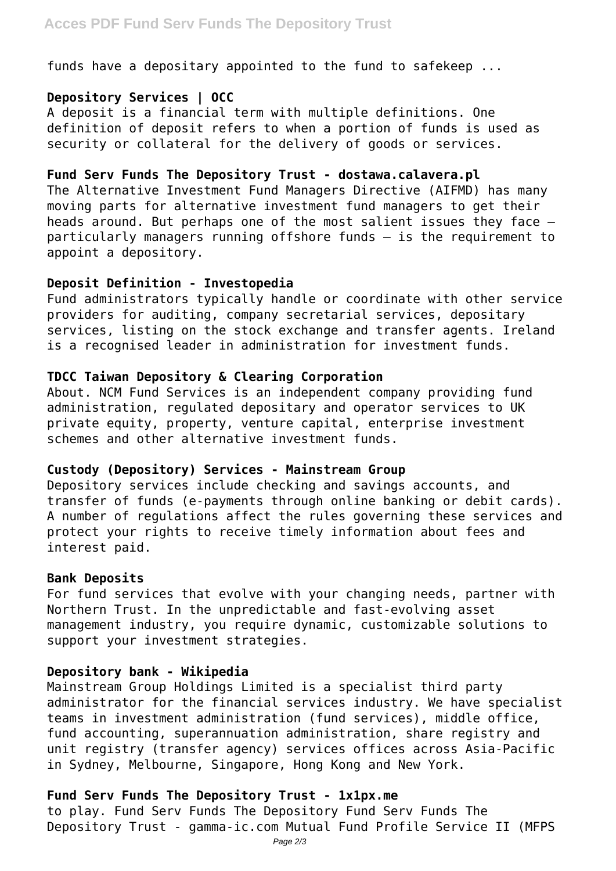funds have a depositary appointed to the fund to safekeep ...

# **Depository Services | OCC**

A deposit is a financial term with multiple definitions. One definition of deposit refers to when a portion of funds is used as security or collateral for the delivery of goods or services.

## **Fund Serv Funds The Depository Trust - dostawa.calavera.pl**

The Alternative Investment Fund Managers Directive (AIFMD) has many moving parts for alternative investment fund managers to get their heads around. But perhaps one of the most salient issues they face – particularly managers running offshore funds – is the requirement to appoint a depository.

# **Deposit Definition - Investopedia**

Fund administrators typically handle or coordinate with other service providers for auditing, company secretarial services, depositary services, listing on the stock exchange and transfer agents. Ireland is a recognised leader in administration for investment funds.

# **TDCC Taiwan Depository & Clearing Corporation**

About. NCM Fund Services is an independent company providing fund administration, regulated depositary and operator services to UK private equity, property, venture capital, enterprise investment schemes and other alternative investment funds.

# **Custody (Depository) Services - Mainstream Group**

Depository services include checking and savings accounts, and transfer of funds (e-payments through online banking or debit cards). A number of regulations affect the rules governing these services and protect your rights to receive timely information about fees and interest paid.

# **Bank Deposits**

For fund services that evolve with your changing needs, partner with Northern Trust. In the unpredictable and fast-evolving asset management industry, you require dynamic, customizable solutions to support your investment strategies.

# **Depository bank - Wikipedia**

Mainstream Group Holdings Limited is a specialist third party administrator for the financial services industry. We have specialist teams in investment administration (fund services), middle office, fund accounting, superannuation administration, share registry and unit registry (transfer agency) services offices across Asia-Pacific in Sydney, Melbourne, Singapore, Hong Kong and New York.

# **Fund Serv Funds The Depository Trust - 1x1px.me**

to play. Fund Serv Funds The Depository Fund Serv Funds The Depository Trust - gamma-ic.com Mutual Fund Profile Service II (MFPS